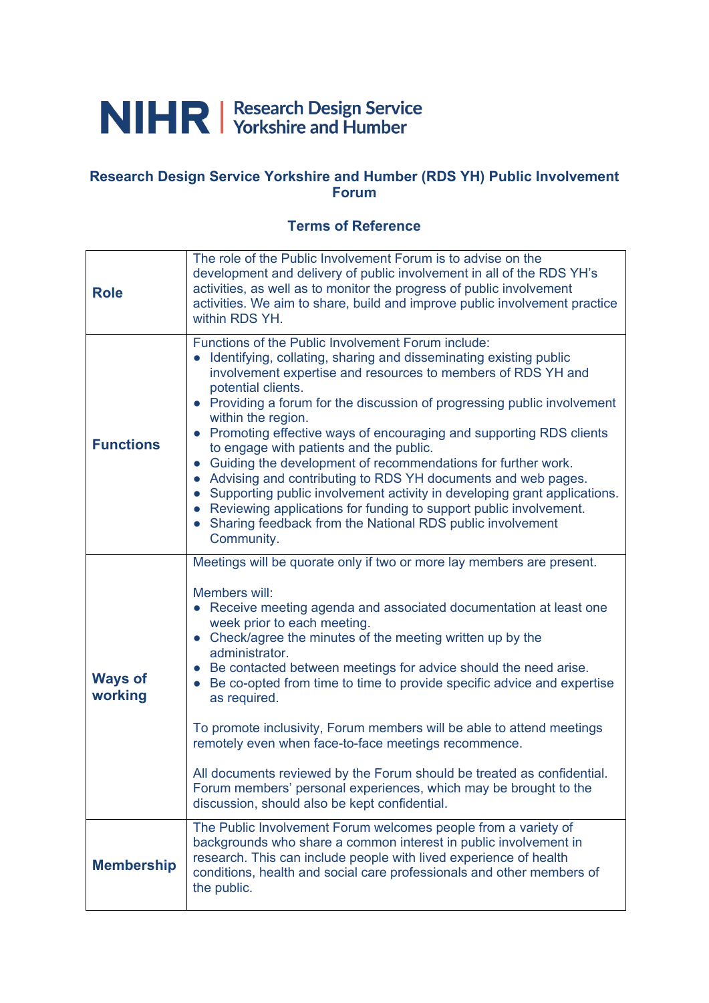# NIHR | Research Design Service

#### **Research Design Service Yorkshire and Humber (RDS YH) Public Involvement Forum**

#### **Terms of Reference**

| <b>Role</b>               | The role of the Public Involvement Forum is to advise on the<br>development and delivery of public involvement in all of the RDS YH's<br>activities, as well as to monitor the progress of public involvement<br>activities. We aim to share, build and improve public involvement practice<br>within RDS YH.                                                                                                                                                                                                                                                                                                                                                                                                                                                                                          |  |
|---------------------------|--------------------------------------------------------------------------------------------------------------------------------------------------------------------------------------------------------------------------------------------------------------------------------------------------------------------------------------------------------------------------------------------------------------------------------------------------------------------------------------------------------------------------------------------------------------------------------------------------------------------------------------------------------------------------------------------------------------------------------------------------------------------------------------------------------|--|
| <b>Functions</b>          | Functions of the Public Involvement Forum include:<br>Identifying, collating, sharing and disseminating existing public<br>involvement expertise and resources to members of RDS YH and<br>potential clients.<br>• Providing a forum for the discussion of progressing public involvement<br>within the region.<br>• Promoting effective ways of encouraging and supporting RDS clients<br>to engage with patients and the public.<br>• Guiding the development of recommendations for further work.<br>• Advising and contributing to RDS YH documents and web pages.<br>Supporting public involvement activity in developing grant applications.<br>• Reviewing applications for funding to support public involvement.<br>• Sharing feedback from the National RDS public involvement<br>Community. |  |
| <b>Ways of</b><br>working | Meetings will be quorate only if two or more lay members are present.<br>Members will:<br>• Receive meeting agenda and associated documentation at least one<br>week prior to each meeting.<br>• Check/agree the minutes of the meeting written up by the<br>administrator.<br>• Be contacted between meetings for advice should the need arise.<br>Be co-opted from time to time to provide specific advice and expertise<br>$\bullet$<br>as required.<br>To promote inclusivity, Forum members will be able to attend meetings<br>remotely even when face-to-face meetings recommence.<br>All documents reviewed by the Forum should be treated as confidential.<br>Forum members' personal experiences, which may be brought to the<br>discussion, should also be kept confidential.                |  |
| <b>Membership</b>         | The Public Involvement Forum welcomes people from a variety of<br>backgrounds who share a common interest in public involvement in<br>research. This can include people with lived experience of health<br>conditions, health and social care professionals and other members of<br>the public.                                                                                                                                                                                                                                                                                                                                                                                                                                                                                                        |  |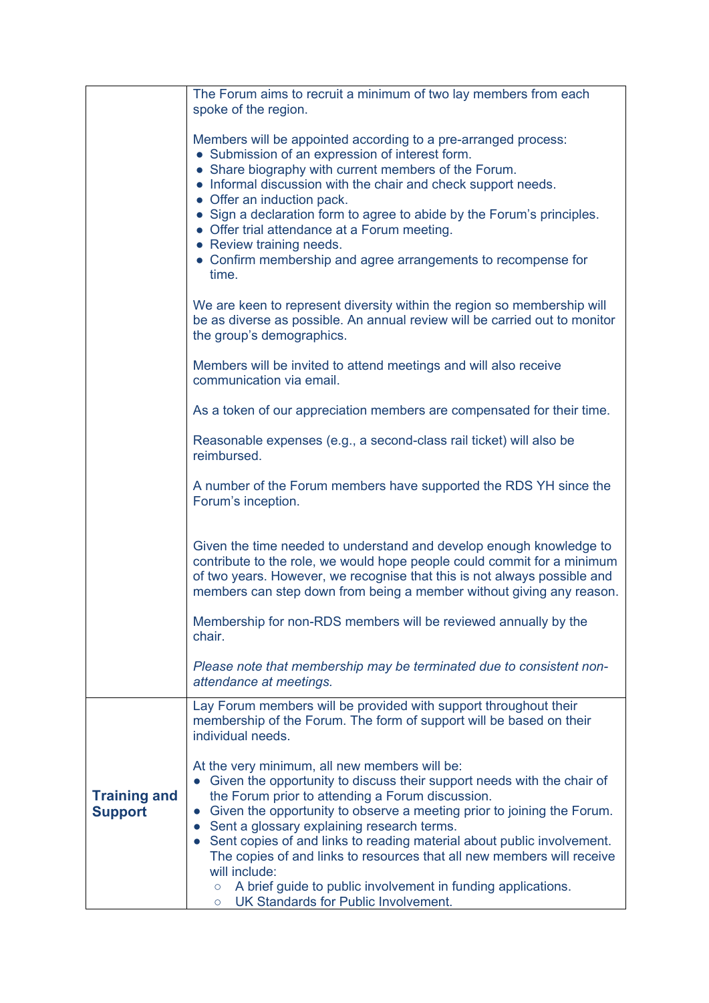|                                       | The Forum aims to recruit a minimum of two lay members from each                                                                                                                                                                                                                                                                                                                                                                                                                                                                                                                                                    |
|---------------------------------------|---------------------------------------------------------------------------------------------------------------------------------------------------------------------------------------------------------------------------------------------------------------------------------------------------------------------------------------------------------------------------------------------------------------------------------------------------------------------------------------------------------------------------------------------------------------------------------------------------------------------|
|                                       | spoke of the region.                                                                                                                                                                                                                                                                                                                                                                                                                                                                                                                                                                                                |
|                                       | Members will be appointed according to a pre-arranged process:<br>• Submission of an expression of interest form.<br>• Share biography with current members of the Forum.<br>• Informal discussion with the chair and check support needs.<br>• Offer an induction pack.<br>• Sign a declaration form to agree to abide by the Forum's principles.<br>• Offer trial attendance at a Forum meeting.                                                                                                                                                                                                                  |
|                                       | • Review training needs.<br>• Confirm membership and agree arrangements to recompense for<br>time.                                                                                                                                                                                                                                                                                                                                                                                                                                                                                                                  |
|                                       | We are keen to represent diversity within the region so membership will<br>be as diverse as possible. An annual review will be carried out to monitor<br>the group's demographics.                                                                                                                                                                                                                                                                                                                                                                                                                                  |
|                                       | Members will be invited to attend meetings and will also receive<br>communication via email.                                                                                                                                                                                                                                                                                                                                                                                                                                                                                                                        |
|                                       | As a token of our appreciation members are compensated for their time.                                                                                                                                                                                                                                                                                                                                                                                                                                                                                                                                              |
|                                       | Reasonable expenses (e.g., a second-class rail ticket) will also be<br>reimbursed.                                                                                                                                                                                                                                                                                                                                                                                                                                                                                                                                  |
|                                       | A number of the Forum members have supported the RDS YH since the<br>Forum's inception.                                                                                                                                                                                                                                                                                                                                                                                                                                                                                                                             |
|                                       | Given the time needed to understand and develop enough knowledge to<br>contribute to the role, we would hope people could commit for a minimum<br>of two years. However, we recognise that this is not always possible and<br>members can step down from being a member without giving any reason.                                                                                                                                                                                                                                                                                                                  |
|                                       | Membership for non-RDS members will be reviewed annually by the<br>chair.                                                                                                                                                                                                                                                                                                                                                                                                                                                                                                                                           |
|                                       | Please note that membership may be terminated due to consistent non-<br>attendance at meetings.                                                                                                                                                                                                                                                                                                                                                                                                                                                                                                                     |
|                                       | Lay Forum members will be provided with support throughout their<br>membership of the Forum. The form of support will be based on their<br>individual needs.                                                                                                                                                                                                                                                                                                                                                                                                                                                        |
| <b>Training and</b><br><b>Support</b> | At the very minimum, all new members will be:<br>Given the opportunity to discuss their support needs with the chair of<br>the Forum prior to attending a Forum discussion.<br>Given the opportunity to observe a meeting prior to joining the Forum.<br>$\bullet$<br>Sent a glossary explaining research terms.<br>Sent copies of and links to reading material about public involvement.<br>The copies of and links to resources that all new members will receive<br>will include:<br>A brief guide to public involvement in funding applications.<br>$\circ$<br>UK Standards for Public Involvement.<br>$\circ$ |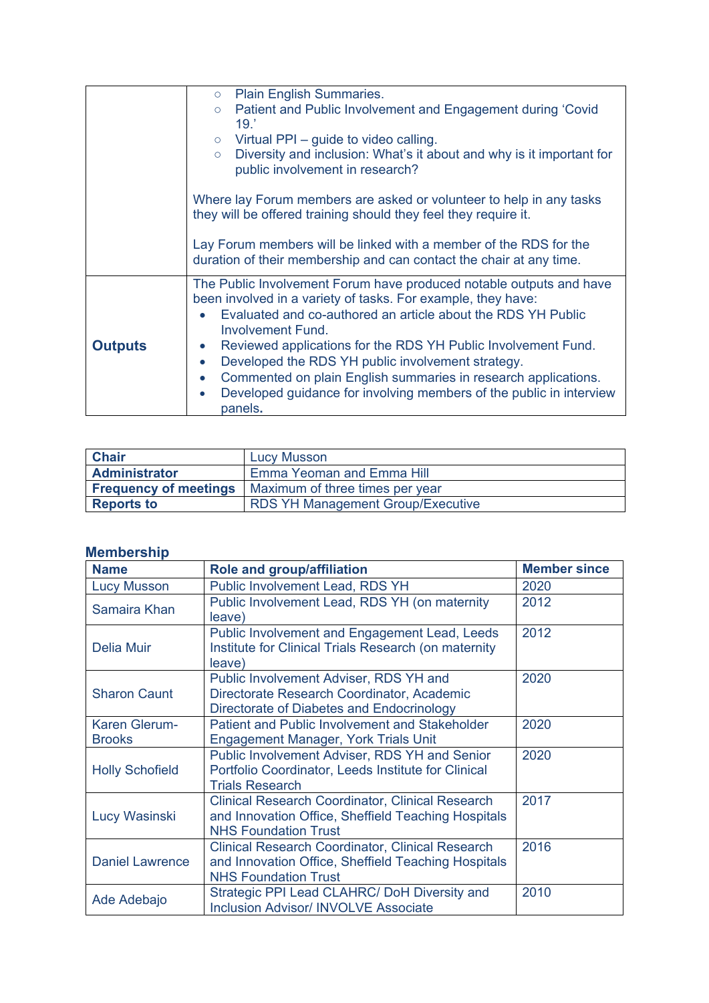|                | <b>Plain English Summaries.</b><br>$\circ$                                                                                          |  |
|----------------|-------------------------------------------------------------------------------------------------------------------------------------|--|
|                | Patient and Public Involvement and Engagement during 'Covid<br>$\circ$                                                              |  |
|                | 19.7                                                                                                                                |  |
|                | Virtual PPI – guide to video calling.<br>$\circ$                                                                                    |  |
|                | Diversity and inclusion: What's it about and why is it important for<br>$\circ$<br>public involvement in research?                  |  |
|                |                                                                                                                                     |  |
|                | Where lay Forum members are asked or volunteer to help in any tasks                                                                 |  |
|                | they will be offered training should they feel they require it.                                                                     |  |
|                |                                                                                                                                     |  |
|                | Lay Forum members will be linked with a member of the RDS for the                                                                   |  |
|                | duration of their membership and can contact the chair at any time.                                                                 |  |
|                | The Public Involvement Forum have produced notable outputs and have<br>been involved in a variety of tasks. For example, they have: |  |
|                | Evaluated and co-authored an article about the RDS YH Public                                                                        |  |
|                | <b>Involvement Fund.</b>                                                                                                            |  |
| <b>Outputs</b> | Reviewed applications for the RDS YH Public Involvement Fund.<br>$\bullet$                                                          |  |
|                | Developed the RDS YH public involvement strategy.<br>$\bullet$                                                                      |  |
|                | Commented on plain English summaries in research applications.<br>$\bullet$                                                         |  |
|                | Developed guidance for involving members of the public in interview<br>$\bullet$                                                    |  |
|                | panels.                                                                                                                             |  |

| <b>Chair</b>                 | <b>Lucy Musson</b>                       |
|------------------------------|------------------------------------------|
| <b>Administrator</b>         | Emma Yeoman and Emma Hill                |
| <b>Frequency of meetings</b> | Maximum of three times per year          |
| <b>Reports to</b>            | <b>RDS YH Management Group/Executive</b> |

### **Membership**

| <b>Name</b>                    | <b>Role and group/affiliation</b>                                                                                                             | <b>Member since</b> |
|--------------------------------|-----------------------------------------------------------------------------------------------------------------------------------------------|---------------------|
| <b>Lucy Musson</b>             | <b>Public Involvement Lead, RDS YH</b>                                                                                                        | 2020                |
| Samaira Khan                   | Public Involvement Lead, RDS YH (on maternity<br>leave)                                                                                       | 2012                |
| <b>Delia Muir</b>              | Public Involvement and Engagement Lead, Leeds<br>Institute for Clinical Trials Research (on maternity<br>leave)                               | 2012                |
| <b>Sharon Caunt</b>            | 2020<br>Public Involvement Adviser, RDS YH and<br>Directorate Research Coordinator, Academic<br>Directorate of Diabetes and Endocrinology     |                     |
| Karen Glerum-<br><b>Brooks</b> | <b>Patient and Public Involvement and Stakeholder</b><br><b>Engagement Manager, York Trials Unit</b>                                          | 2020                |
| <b>Holly Schofield</b>         | <b>Public Involvement Adviser, RDS YH and Senior</b><br>Portfolio Coordinator, Leeds Institute for Clinical<br><b>Trials Research</b>         | 2020                |
| Lucy Wasinski                  | <b>Clinical Research Coordinator, Clinical Research</b><br>and Innovation Office, Sheffield Teaching Hospitals<br><b>NHS Foundation Trust</b> | 2017                |
| <b>Daniel Lawrence</b>         | <b>Clinical Research Coordinator, Clinical Research</b><br>and Innovation Office, Sheffield Teaching Hospitals<br><b>NHS Foundation Trust</b> | 2016                |
| Ade Adebajo                    | Strategic PPI Lead CLAHRC/ DoH Diversity and<br><b>Inclusion Advisor/ INVOLVE Associate</b>                                                   | 2010                |